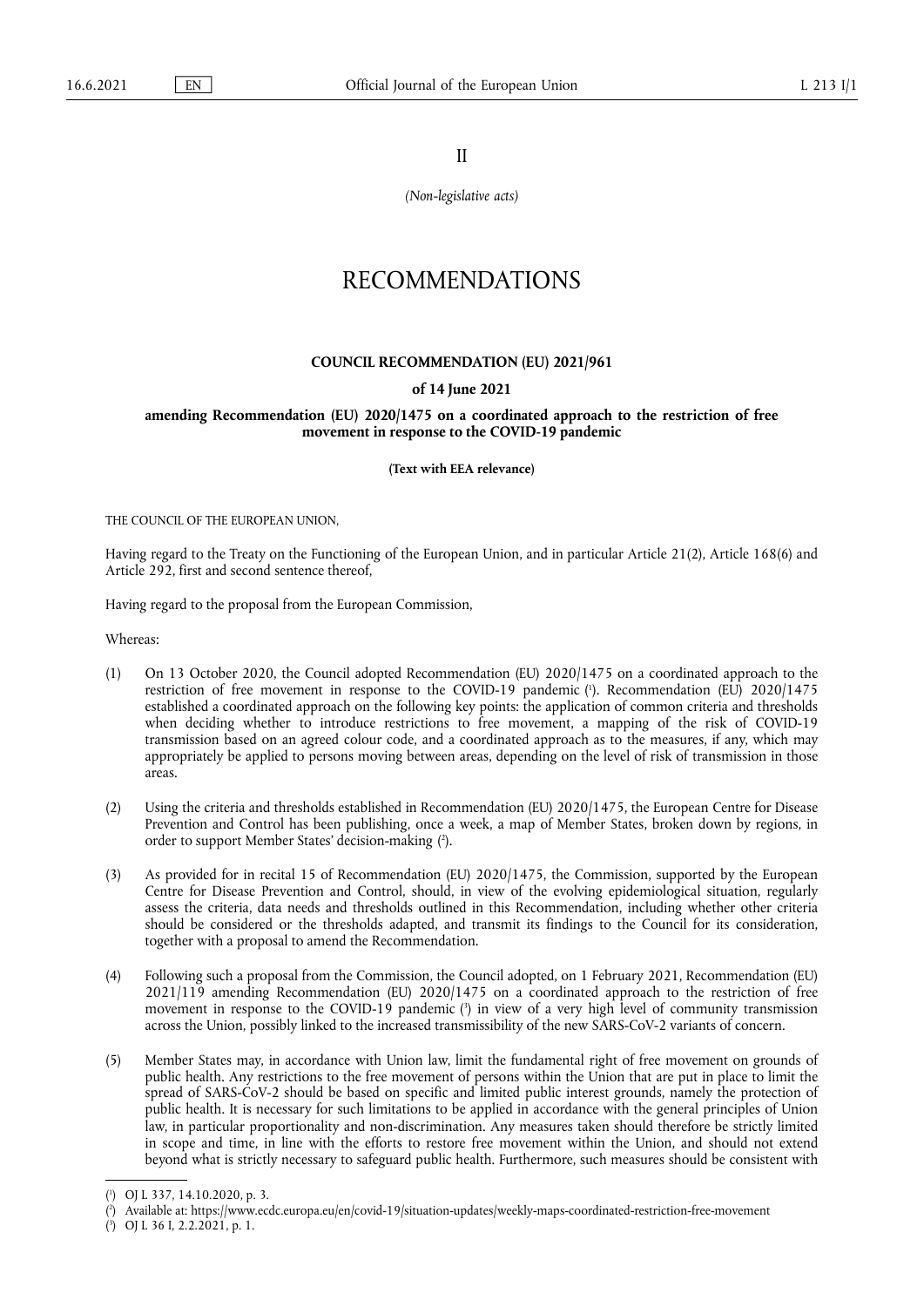II

*(Non-legislative acts)*

## RECOMMENDATIONS

## **COUNCIL RECOMMENDATION (EU) 2021/961**

## **of 14 June 2021**

## **amending Recommendation (EU) 2020/1475 on a coordinated approach to the restriction of free movement in response to the COVID-19 pandemic**

**(Text with EEA relevance)** 

THE COUNCIL OF THE EUROPEAN UNION

Having regard to the Treaty on the Functioning of the European Union, and in particular Article 21(2), Article 168(6) and Article 292, first and second sentence thereof,

Having regard to the proposal from the European Commission,

Whereas:

- <span id="page-0-3"></span>(1) On 13 October 2020, the Council adopted Recommendation (EU) 2020/1475 on a coordinated approach to the restriction of free movement in response to the COVID-19 pandemic [\(](#page-0-0) 1 ). Recommendation (EU) 2020/1475 established a coordinated approach on the following key points: the application of common criteria and thresholds when deciding whether to introduce restrictions to free movement, a mapping of the risk of COVID-19 transmission based on an agreed colour code, and a coordinated approach as to the measures, if any, which may appropriately be applied to persons moving between areas, depending on the level of risk of transmission in those areas.
- <span id="page-0-4"></span>(2) Using the criteria and thresholds established in Recommendation (EU) 2020/1475, the European Centre for Disease Prevention and Control has been publishing, once a week, a map of Member States, broken down by regions, in order to support Member States' decision-making ( 2 [\).](#page-0-1)
- (3) As provided for in recital 15 of Recommendation (EU) 2020/1475, the Commission, supported by the European Centre for Disease Prevention and Control, should, in view of the evolving epidemiological situation, regularly assess the criteria, data needs and thresholds outlined in this Recommendation, including whether other criteria should be considered or the thresholds adapted, and transmit its findings to the Council for its consideration, together with a proposal to amend the Recommendation.
- <span id="page-0-5"></span>(4) Following such a proposal from the Commission, the Council adopted, on 1 February 2021, Recommendation (EU) 2021/119 amending Recommendation (EU) 2020/1475 on a coordinated approach to the restriction of free movement in response to the COVID-19 pandemic [\(](#page-0-2) 3 ) in view of a very high level of community transmission across the Union, possibly linked to the increased transmissibility of the new SARS-CoV-2 variants of concern.
- (5) Member States may, in accordance with Union law, limit the fundamental right of free movement on grounds of public health. Any restrictions to the free movement of persons within the Union that are put in place to limit the spread of SARS-CoV-2 should be based on specific and limited public interest grounds, namely the protection of public health. It is necessary for such limitations to be applied in accordance with the general principles of Union law, in particular proportionality and non-discrimination. Any measures taken should therefore be strictly limited in scope and time, in line with the efforts to restore free movement within the Union, and should not extend beyond what is strictly necessary to safeguard public health. Furthermore, such measures should be consistent with

<span id="page-0-0"></span>[<sup>\(</sup>](#page-0-3) 1 ) OJ L 337, 14.10.2020, p. 3.

<span id="page-0-1"></span>[<sup>\(</sup>](#page-0-4) 2 ) Available at: <https://www.ecdc.europa.eu/en/covid-19/situation-updates/weekly-maps-coordinated-restriction-free-movement>

<span id="page-0-2"></span><sup>(</sup> 3 [\)](#page-0-5) OJ L 36 I, 2.2.2021, p. 1.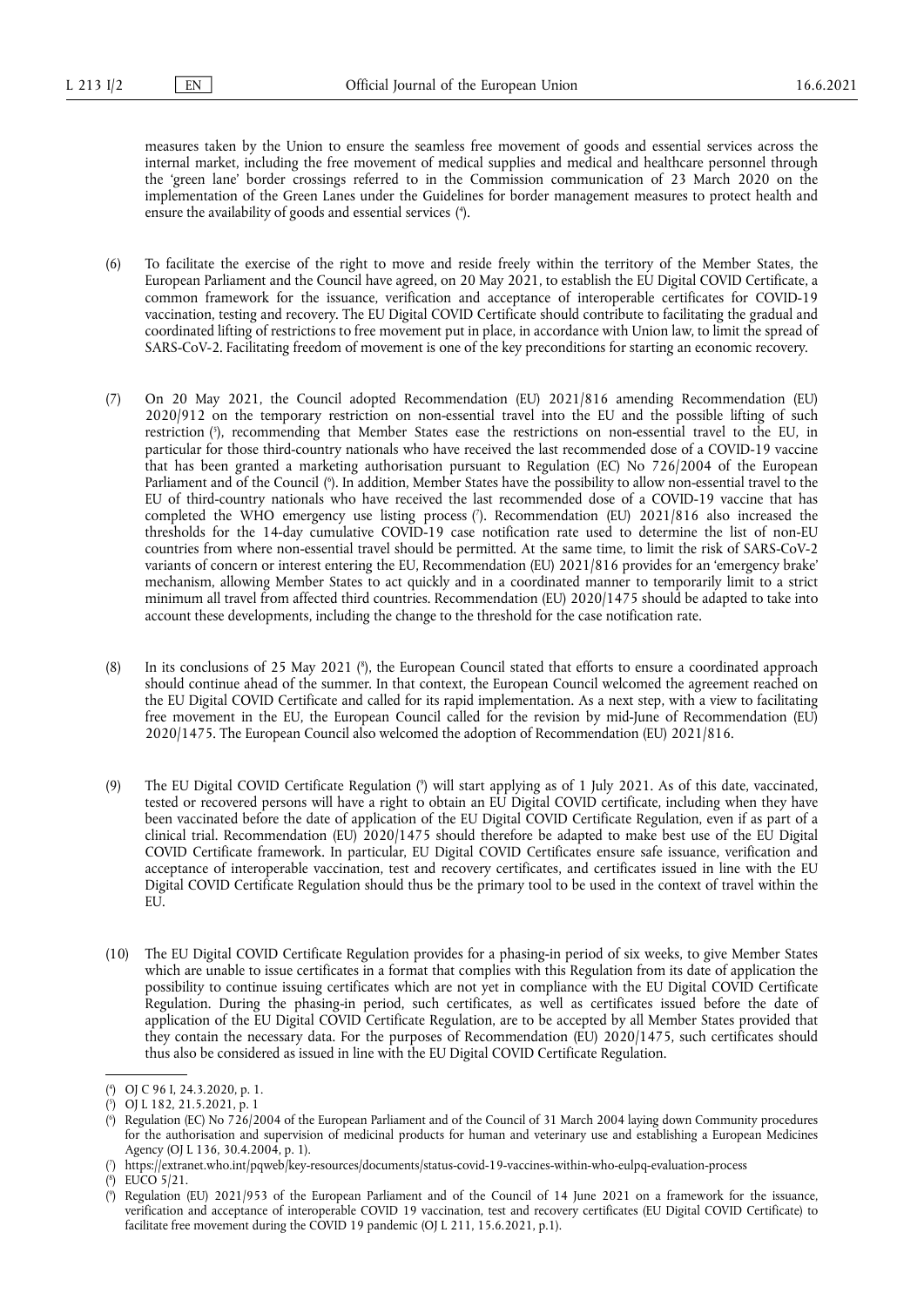measures taken by the Union to ensure the seamless free movement of goods and essential services across the internal market, including the free movement of medical supplies and medical and healthcare personnel through the 'green lane' border crossings referred to in the Commission communication of 23 March 2020 on the implementation of the Green Lanes under the Guidelines for border management measures to protect health and ensure the availability of goods and essential services ( 4 [\).](#page-1-0)

- <span id="page-1-6"></span>(6) To facilitate the exercise of the right to move and reside freely within the territory of the Member States, the European Parliament and the Council have agreed, on 20 May 2021, to establish the EU Digital COVID Certificate, a common framework for the issuance, verification and acceptance of interoperable certificates for COVID-19 vaccination, testing and recovery. The EU Digital COVID Certificate should contribute to facilitating the gradual and coordinated lifting of restrictions to free movement put in place, in accordance with Union law, to limit the spread of SARS-CoV-2. Facilitating freedom of movement is one of the key preconditions for starting an economic recovery.
- <span id="page-1-9"></span><span id="page-1-8"></span><span id="page-1-7"></span>(7) On 20 May 2021, the Council adopted Recommendation (EU) 2021/816 amending Recommendation (EU) 2020/912 on the temporary restriction on non-essential travel into the EU and the possible lifting of such restriction [\(](#page-1-1) 5 ), recommending that Member States ease the restrictions on non-essential travel to the EU, in particular for those third-country nationals who have received the last recommended dose of a COVID-19 vaccine that has been granted a marketing authorisation pursuant to Regulation (EC) No 726/2004 of the European Parliament and of the Council [\(](#page-1-2) 6 ). In addition, Member States have the possibility to allow non-essential travel to the EU of third-country nationals who have received the last recommended dose of a COVID-19 vaccine that has completed the WHO emergency use listing process ( 7 [\).](#page-1-3) Recommendation (EU) 2021/816 also increased the thresholds for the 14-day cumulative COVID-19 case notification rate used to determine the list of non-EU countries from where non-essential travel should be permitted. At the same time, to limit the risk of SARS-CoV-2 variants of concern or interest entering the EU, Recommendation (EU) 2021/816 provides for an 'emergency brake' mechanism, allowing Member States to act quickly and in a coordinated manner to temporarily limit to a strict minimum all travel from affected third countries. Recommendation (EU) 2020/1475 should be adapted to take into account these developments, including the change to the threshold for the case notification rate.
- <span id="page-1-10"></span>(8) In its conclusions of 25 May 2021 (8[\),](#page-1-4) the European Council stated that efforts to ensure a coordinated approach should continue ahead of the summer. In that context, the European Council welcomed the agreement reached on the EU Digital COVID Certificate and called for its rapid implementation. As a next step, with a view to facilitating free movement in the EU, the European Council called for the revision by mid-June of Recommendation (EU) 2020/1475. The European Council also welcomed the adoption of Recommendation (EU) 2021/816.
- <span id="page-1-11"></span>[\(](#page-1-5)9) The EU Digital COVID Certificate Regulation (°) will start applying as of 1 July 2021. As of this date, vaccinated, tested or recovered persons will have a right to obtain an EU Digital COVID certificate, including when they have been vaccinated before the date of application of the EU Digital COVID Certificate Regulation, even if as part of a clinical trial. Recommendation (EU) 2020/1475 should therefore be adapted to make best use of the EU Digital COVID Certificate framework. In particular, EU Digital COVID Certificates ensure safe issuance, verification and acceptance of interoperable vaccination, test and recovery certificates, and certificates issued in line with the EU Digital COVID Certificate Regulation should thus be the primary tool to be used in the context of travel within the EU.
- (10) The EU Digital COVID Certificate Regulation provides for a phasing-in period of six weeks, to give Member States which are unable to issue certificates in a format that complies with this Regulation from its date of application the possibility to continue issuing certificates which are not yet in compliance with the EU Digital COVID Certificate Regulation. During the phasing-in period, such certificates, as well as certificates issued before the date of application of the EU Digital COVID Certificate Regulation, are to be accepted by all Member States provided that they contain the necessary data. For the purposes of Recommendation (EU) 2020/1475, such certificates should thus also be considered as issued in line with the EU Digital COVID Certificate Regulation.

<span id="page-1-0"></span>[<sup>\(</sup>](#page-1-6) 4 ) OJ C 96 I, 24.3.2020, p. 1.

<span id="page-1-1"></span>[<sup>\(</sup>](#page-1-7) 5 ) OJ L 182, 21.5.2021, p. 1

<span id="page-1-2"></span>[<sup>\(</sup>](#page-1-8) 6 ) Regulation (EC) No 726/2004 of the European Parliament and of the Council of 31 March 2004 laying down Community procedures for the authorisation and supervision of medicinal products for human and veterinary use and establishing a European Medicines Agency (OJ L 136, 30.4.2004, p. 1).

<span id="page-1-3"></span>[<sup>\(</sup>](#page-1-9) 7 ) <https://extranet.who.int/pqweb/key-resources/documents/status-covid-19-vaccines-within-who-eulpq-evaluation-process>

<span id="page-1-4"></span>[<sup>\(</sup>](#page-1-10) 8 ) EUCO 5/21.

<span id="page-1-5"></span>[<sup>\(</sup>](#page-1-11) 9 ) Regulation (EU) 2021/953 of the European Parliament and of the Council of 14 June 2021 on a framework for the issuance, verification and acceptance of interoperable COVID 19 vaccination, test and recovery certificates (EU Digital COVID Certificate) to facilitate free movement during the COVID 19 pandemic (OJ L 211, 15.6.2021, p.1).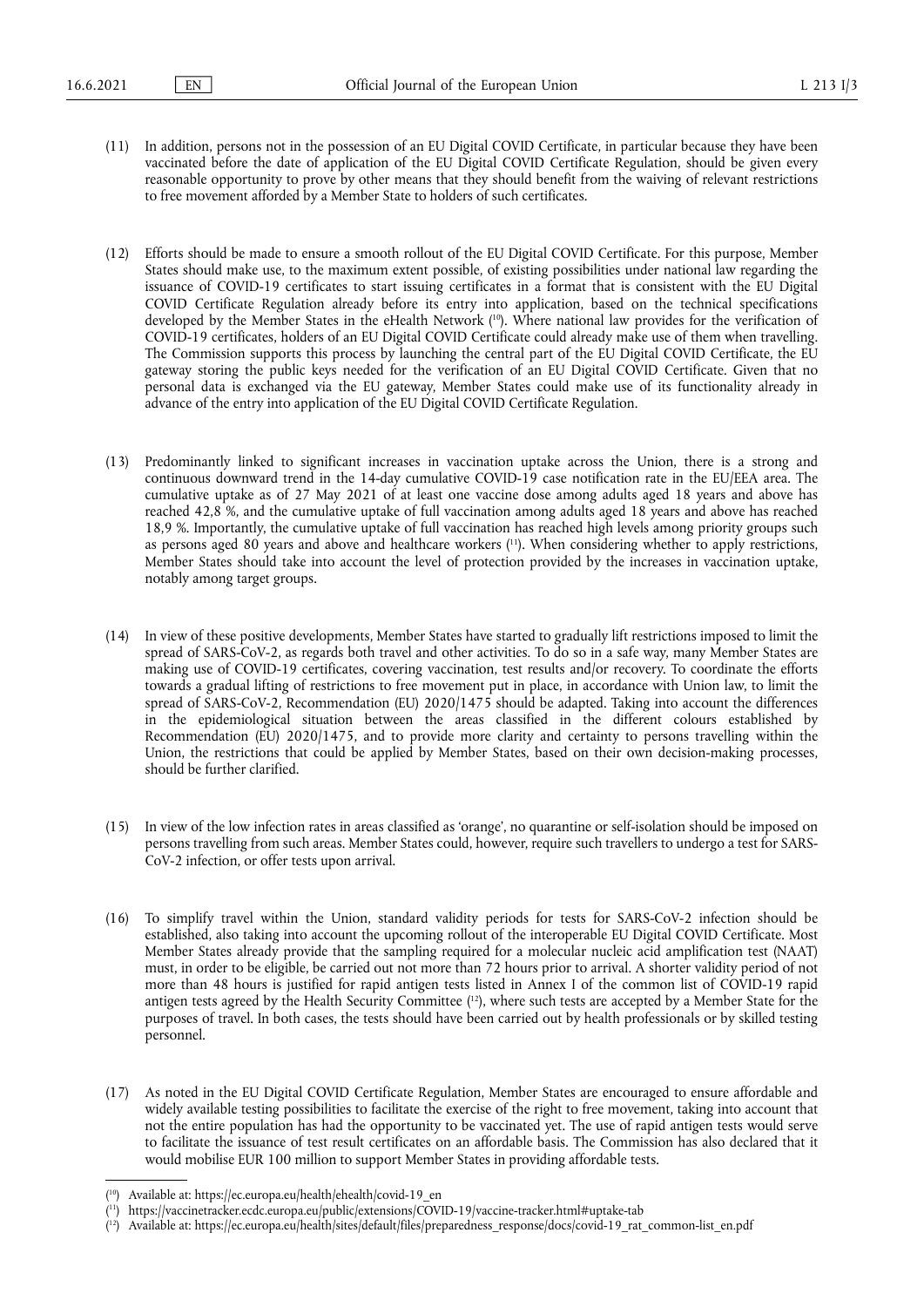- (11) In addition, persons not in the possession of an EU Digital COVID Certificate, in particular because they have been vaccinated before the date of application of the EU Digital COVID Certificate Regulation, should be given every reasonable opportunity to prove by other means that they should benefit from the waiving of relevant restrictions to free movement afforded by a Member State to holders of such certificates.
- <span id="page-2-3"></span>(12) Efforts should be made to ensure a smooth rollout of the EU Digital COVID Certificate. For this purpose, Member States should make use, to the maximum extent possible, of existing possibilities under national law regarding the issuance of COVID-19 certificates to start issuing certificates in a format that is consistent with the EU Digital COVID Certificate Regulation already before its entry into application, based on the technical specifications developed by the Member States in the eHealth Network ( [10\)](#page-2-0). Where national law provides for the verification of COVID-19 certificates, holders of an EU Digital COVID Certificate could already make use of them when travelling. The Commission supports this process by launching the central part of the EU Digital COVID Certificate, the EU gateway storing the public keys needed for the verification of an EU Digital COVID Certificate. Given that no personal data is exchanged via the EU gateway, Member States could make use of its functionality already in advance of the entry into application of the EU Digital COVID Certificate Regulation.
- <span id="page-2-4"></span>(13) Predominantly linked to significant increases in vaccination uptake across the Union, there is a strong and continuous downward trend in the 14-day cumulative COVID-19 case notification rate in the EU/EEA area. The cumulative uptake as of 27 May 2021 of at least one vaccine dose among adults aged 18 years and above has reached 42,8 %, and the cumulative uptake of full vaccination among adults aged 18 years and above has reached 18,9 %. Importantly, the cumulative uptake of full vaccination has reached high levels among priority groups such as persons aged 80 years and above and healthcare workers (<sup>11</sup>). When considering whether to apply restrictions, Member States should take into account the level of protection provided by the increases in vaccination uptake, notably among target groups.
- (14) In view of these positive developments, Member States have started to gradually lift restrictions imposed to limit the spread of SARS-CoV-2, as regards both travel and other activities. To do so in a safe way, many Member States are making use of COVID-19 certificates, covering vaccination, test results and/or recovery. To coordinate the efforts towards a gradual lifting of restrictions to free movement put in place, in accordance with Union law, to limit the spread of SARS-CoV-2, Recommendation (EU) 2020/1475 should be adapted. Taking into account the differences in the epidemiological situation between the areas classified in the different colours established by Recommendation (EU) 2020/1475, and to provide more clarity and certainty to persons travelling within the Union, the restrictions that could be applied by Member States, based on their own decision-making processes, should be further clarified.
- (15) In view of the low infection rates in areas classified as 'orange', no quarantine or self-isolation should be imposed on persons travelling from such areas. Member States could, however, require such travellers to undergo a test for SARS-CoV-2 infection, or offer tests upon arrival.
- <span id="page-2-5"></span>(16) To simplify travel within the Union, standard validity periods for tests for SARS-CoV-2 infection should be established, also taking into account the upcoming rollout of the interoperable EU Digital COVID Certificate. Most Member States already provide that the sampling required for a molecular nucleic acid amplification test (NAAT) must, in order to be eligible, be carried out not more than 72 hours prior to arrival. A shorter validity period of not more than 48 hours is justified for rapid antigen tests listed in Annex I of the common list of COVID-19 rapid antigen tests agreed by the Health Security Committee ( [12\)](#page-2-2), where such tests are accepted by a Member State for the purposes of travel. In both cases, the tests should have been carried out by health professionals or by skilled testing personnel.
- (17) As noted in the EU Digital COVID Certificate Regulation, Member States are encouraged to ensure affordable and widely available testing possibilities to facilitate the exercise of the right to free movement, taking into account that not the entire population has had the opportunity to be vaccinated yet. The use of rapid antigen tests would serve to facilitate the issuance of test result certificates on an affordable basis. The Commission has also declared that it would mobilise EUR 100 million to support Member States in providing affordable tests.

<span id="page-2-0"></span><sup>(</sup> [10\)](#page-2-3) Available at: [https://ec.europa.eu/health/ehealth/covid-19\\_en](https://ec.europa.eu/health/ehealth/covid-19_en)

<span id="page-2-1"></span><sup>(</sup> [11\)](#page-2-4) <https://vaccinetracker.ecdc.europa.eu/public/extensions/COVID-19/vaccine-tracker.html#uptake-tab>

<span id="page-2-2"></span><sup>(</sup> [12\)](#page-2-5) Available at: [https://ec.europa.eu/health/sites/default/files/preparedness\\_response/docs/covid-19\\_rat\\_common-list\\_en.pdf](https://ec.europa.eu/health/sites/default/files/preparedness_response/docs/covid-19_rat_common-list_en.pdf)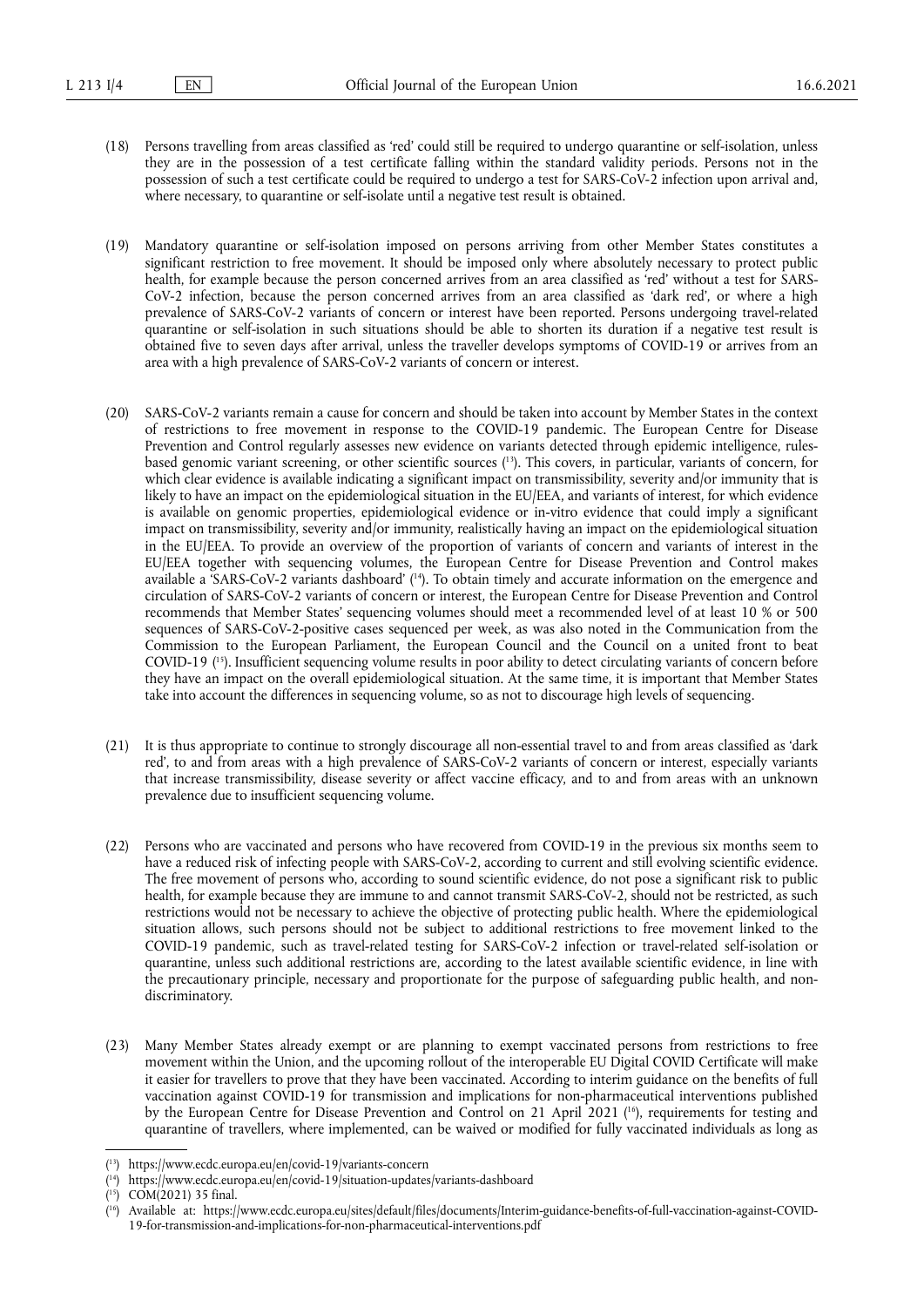- (18) Persons travelling from areas classified as 'red' could still be required to undergo quarantine or self-isolation, unless they are in the possession of a test certificate falling within the standard validity periods. Persons not in the possession of such a test certificate could be required to undergo a test for SARS-CoV-2 infection upon arrival and, where necessary, to quarantine or self-isolate until a negative test result is obtained.
- (19) Mandatory quarantine or self-isolation imposed on persons arriving from other Member States constitutes a significant restriction to free movement. It should be imposed only where absolutely necessary to protect public health, for example because the person concerned arrives from an area classified as 'red' without a test for SARS-CoV-2 infection, because the person concerned arrives from an area classified as 'dark red', or where a high prevalence of SARS-CoV-2 variants of concern or interest have been reported. Persons undergoing travel-related quarantine or self-isolation in such situations should be able to shorten its duration if a negative test result is obtained five to seven days after arrival, unless the traveller develops symptoms of COVID-19 or arrives from an area with a high prevalence of SARS-CoV-2 variants of concern or interest.
- <span id="page-3-5"></span><span id="page-3-4"></span>(20) SARS-CoV-2 variants remain a cause for concern and should be taken into account by Member States in the context of restrictions to free movement in response to the COVID-19 pandemic. The European Centre for Disease Prevention and Control regularly assesses new evidence on variants detected through epidemic intelligence, rulesbased genomic variant screening, or other scientific sources ( [13\).](#page-3-0) This covers, in particular, variants of concern, for which clear evidence is available indicating a significant impact on transmissibility, severity and/or immunity that is likely to have an impact on the epidemiological situation in the EU/EEA, and variants of interest, for which evidence is available on genomic properties, epidemiological evidence or in-vitro evidence that could imply a significant impact on transmissibility, severity and/or immunity, realistically having an impact on the epidemiological situation in the EU/EEA. To provide an overview of the proportion of variants of concern and variants of interest in the EU/EEA together with sequencing volumes, the European Centre for Disease Prevention and Control makes available a 'SARS-CoV-2 variants dashboard' ( [14\)](#page-3-1). To obtain timely and accurate information on the emergence and circulation of SARS-CoV-2 variants of concern or interest, the European Centre for Disease Prevention and Control recommends that Member States' sequencing volumes should meet a recommended level of at least 10 % or 500 sequences of SARS-CoV-2-positive cases sequenced per week, as was also noted in the Communication from the Commission to the European Parliament, the European Council and the Council on a united front to beat COVID-19 ( [15\)](#page-3-2). Insufficient sequencing volume results in poor ability to detect circulating variants of concern before they have an impact on the overall epidemiological situation. At the same time, it is important that Member States take into account the differences in sequencing volume, so as not to discourage high levels of sequencing.
- <span id="page-3-6"></span>(21) It is thus appropriate to continue to strongly discourage all non-essential travel to and from areas classified as 'dark red', to and from areas with a high prevalence of SARS-CoV-2 variants of concern or interest, especially variants that increase transmissibility, disease severity or affect vaccine efficacy, and to and from areas with an unknown prevalence due to insufficient sequencing volume.
- (22) Persons who are vaccinated and persons who have recovered from COVID-19 in the previous six months seem to have a reduced risk of infecting people with SARS-CoV-2, according to current and still evolving scientific evidence. The free movement of persons who, according to sound scientific evidence, do not pose a significant risk to public health, for example because they are immune to and cannot transmit SARS-CoV-2, should not be restricted, as such restrictions would not be necessary to achieve the objective of protecting public health. Where the epidemiological situation allows, such persons should not be subject to additional restrictions to free movement linked to the COVID-19 pandemic, such as travel-related testing for SARS-CoV-2 infection or travel-related self-isolation or quarantine, unless such additional restrictions are, according to the latest available scientific evidence, in line with the precautionary principle, necessary and proportionate for the purpose of safeguarding public health, and nondiscriminatory.
- (23) Many Member States already exempt or are planning to exempt vaccinated persons from restrictions to free movement within the Union, and the upcoming rollout of the interoperable EU Digital COVID Certificate will make it easier for travellers to prove that they have been vaccinated. According to interim guidance on the benefits of full vaccination against COVID-19 for transmission and implications for non-pharmaceutical interventions published by the European Centre for Disease Prevention and Control on 21 April 2021 ( [16\)](#page-3-3), requirements for testing and quarantine of travellers, where implemented, can be waived or modified for fully vaccinated individuals as long as

<span id="page-3-7"></span><span id="page-3-0"></span><sup>(</sup> [13\)](#page-3-4) <https://www.ecdc.europa.eu/en/covid-19/variants-concern>

<span id="page-3-1"></span><sup>(</sup> [14\)](#page-3-5) <https://www.ecdc.europa.eu/en/covid-19/situation-updates/variants-dashboard>

<span id="page-3-2"></span><sup>(</sup> [15\)](#page-3-6) COM(2021) 35 final.

<span id="page-3-3"></span><sup>(</sup> [16\)](#page-3-7) Available at: [https://www.ecdc.europa.eu/sites/default/files/documents/Interim-guidance-benefits-of-full-vaccination-against-COVID-](https://www.ecdc.europa.eu/sites/default/files/documents/Interim-guidance-benefits-of-full-vaccination-against-COVID-19-for-transmission-and-implications-for-non-pharmaceutical-interventions.pdf)[19-for-transmission-and-implications-for-non-pharmaceutical-interventions.pdf](https://www.ecdc.europa.eu/sites/default/files/documents/Interim-guidance-benefits-of-full-vaccination-against-COVID-19-for-transmission-and-implications-for-non-pharmaceutical-interventions.pdf)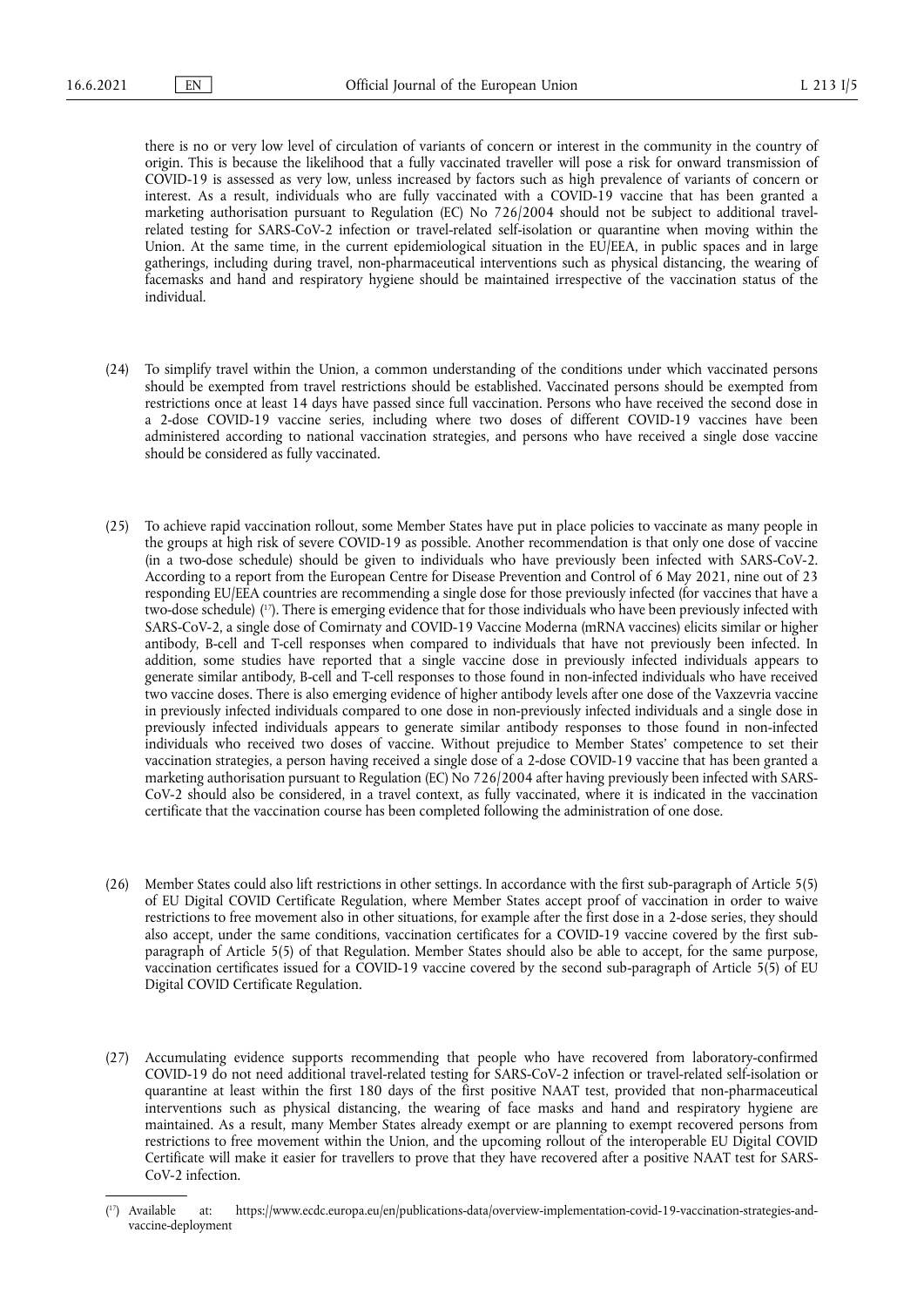there is no or very low level of circulation of variants of concern or interest in the community in the country of origin. This is because the likelihood that a fully vaccinated traveller will pose a risk for onward transmission of COVID-19 is assessed as very low, unless increased by factors such as high prevalence of variants of concern or interest. As a result, individuals who are fully vaccinated with a COVID-19 vaccine that has been granted a marketing authorisation pursuant to Regulation (EC) No 726/2004 should not be subject to additional travelrelated testing for SARS-CoV-2 infection or travel-related self-isolation or quarantine when moving within the Union. At the same time, in the current epidemiological situation in the EU/EEA, in public spaces and in large gatherings, including during travel, non-pharmaceutical interventions such as physical distancing, the wearing of facemasks and hand and respiratory hygiene should be maintained irrespective of the vaccination status of the individual.

- (24) To simplify travel within the Union, a common understanding of the conditions under which vaccinated persons should be exempted from travel restrictions should be established. Vaccinated persons should be exempted from restrictions once at least 14 days have passed since full vaccination. Persons who have received the second dose in a 2-dose COVID-19 vaccine series, including where two doses of different COVID-19 vaccines have been administered according to national vaccination strategies, and persons who have received a single dose vaccine should be considered as fully vaccinated.
- <span id="page-4-1"></span>(25) To achieve rapid vaccination rollout, some Member States have put in place policies to vaccinate as many people in the groups at high risk of severe COVID-19 as possible. Another recommendation is that only one dose of vaccine (in a two-dose schedule) should be given to individuals who have previously been infected with SARS-CoV-2. According to a report from the European Centre for Disease Prevention and Control of 6 May 2021, nine out of 23 responding EU/EEA countries are recommending a single dose for those previously infected (for vaccines that have a two-dose schedule) ( [17\).](#page-4-0) There is emerging evidence that for those individuals who have been previously infected with SARS-CoV-2, a single dose of Comirnaty and COVID-19 Vaccine Moderna (mRNA vaccines) elicits similar or higher antibody, B-cell and T-cell responses when compared to individuals that have not previously been infected. In addition, some studies have reported that a single vaccine dose in previously infected individuals appears to generate similar antibody, B-cell and T-cell responses to those found in non-infected individuals who have received two vaccine doses. There is also emerging evidence of higher antibody levels after one dose of the Vaxzevria vaccine in previously infected individuals compared to one dose in non-previously infected individuals and a single dose in previously infected individuals appears to generate similar antibody responses to those found in non-infected individuals who received two doses of vaccine. Without prejudice to Member States' competence to set their vaccination strategies, a person having received a single dose of a 2-dose COVID-19 vaccine that has been granted a marketing authorisation pursuant to Regulation (EC) No 726/2004 after having previously been infected with SARS-CoV-2 should also be considered, in a travel context, as fully vaccinated, where it is indicated in the vaccination certificate that the vaccination course has been completed following the administration of one dose.
- (26) Member States could also lift restrictions in other settings. In accordance with the first sub-paragraph of Article 5(5) of EU Digital COVID Certificate Regulation, where Member States accept proof of vaccination in order to waive restrictions to free movement also in other situations, for example after the first dose in a 2-dose series, they should also accept, under the same conditions, vaccination certificates for a COVID-19 vaccine covered by the first subparagraph of Article 5(5) of that Regulation. Member States should also be able to accept, for the same purpose, vaccination certificates issued for a COVID-19 vaccine covered by the second sub-paragraph of Article 5(5) of EU Digital COVID Certificate Regulation.
- (27) Accumulating evidence supports recommending that people who have recovered from laboratory-confirmed COVID-19 do not need additional travel-related testing for SARS-CoV-2 infection or travel-related self-isolation or quarantine at least within the first 180 days of the first positive NAAT test, provided that non-pharmaceutical interventions such as physical distancing, the wearing of face masks and hand and respiratory hygiene are maintained. As a result, many Member States already exempt or are planning to exempt recovered persons from restrictions to free movement within the Union, and the upcoming rollout of the interoperable EU Digital COVID Certificate will make it easier for travellers to prove that they have recovered after a positive NAAT test for SARS-CoV-2 infection.

<span id="page-4-0"></span><sup>(17)</sup> Available at: [https://www.ecdc.europa.eu/en/publications-data/overview-implementation-covid-19-vaccination-strategies-and](https://www.ecdc.europa.eu/en/publications-data/overview-implementation-covid-19-vaccination-strategies-and-vaccine-deployment)[vaccine-deployment](https://www.ecdc.europa.eu/en/publications-data/overview-implementation-covid-19-vaccination-strategies-and-vaccine-deployment)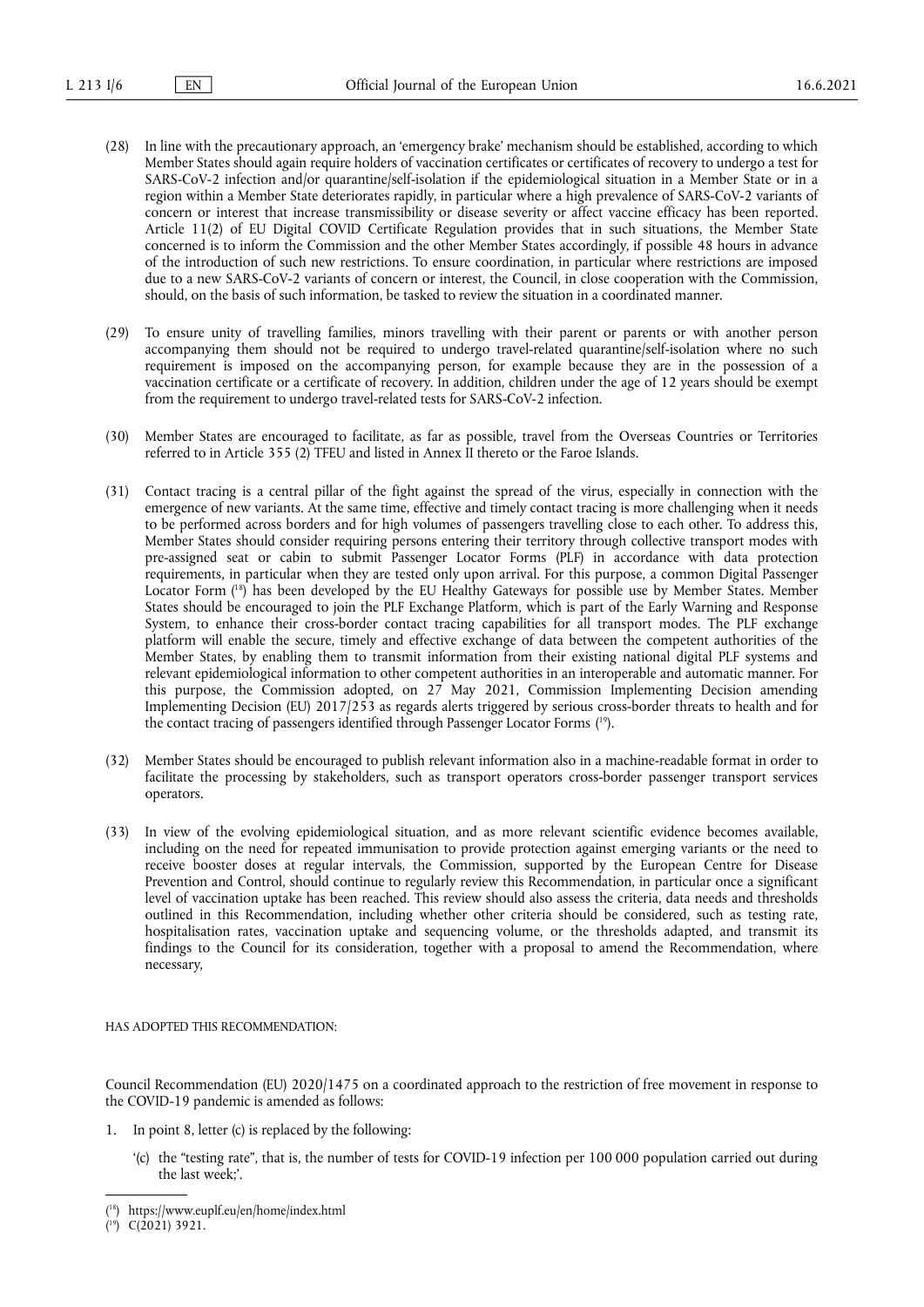- (28) In line with the precautionary approach, an 'emergency brake' mechanism should be established, according to which Member States should again require holders of vaccination certificates or certificates of recovery to undergo a test for SARS-CoV-2 infection and/or quarantine/self-isolation if the epidemiological situation in a Member State or in a region within a Member State deteriorates rapidly, in particular where a high prevalence of SARS-CoV-2 variants of concern or interest that increase transmissibility or disease severity or affect vaccine efficacy has been reported. Article 11(2) of EU Digital COVID Certificate Regulation provides that in such situations, the Member State concerned is to inform the Commission and the other Member States accordingly, if possible 48 hours in advance of the introduction of such new restrictions. To ensure coordination, in particular where restrictions are imposed due to a new SARS-CoV-2 variants of concern or interest, the Council, in close cooperation with the Commission, should, on the basis of such information, be tasked to review the situation in a coordinated manner.
- (29) To ensure unity of travelling families, minors travelling with their parent or parents or with another person accompanying them should not be required to undergo travel-related quarantine/self-isolation where no such requirement is imposed on the accompanying person, for example because they are in the possession of a vaccination certificate or a certificate of recovery. In addition, children under the age of 12 years should be exempt from the requirement to undergo travel-related tests for SARS-CoV-2 infection.
- (30) Member States are encouraged to facilitate, as far as possible, travel from the Overseas Countries or Territories referred to in Article 355 (2) TFEU and listed in Annex II thereto or the Faroe Islands.
- <span id="page-5-2"></span>(31) Contact tracing is a central pillar of the fight against the spread of the virus, especially in connection with the emergence of new variants. At the same time, effective and timely contact tracing is more challenging when it needs to be performed across borders and for high volumes of passengers travelling close to each other. To address this, Member States should consider requiring persons entering their territory through collective transport modes with pre-assigned seat or cabin to submit Passenger Locator Forms (PLF) in accordance with data protection requirements, in particular when they are tested only upon arrival. For this purpose, a common Digital Passenger Locator Form ( [18\)](#page-5-0) has been developed by the EU Healthy Gateways for possible use by Member States. Member States should be encouraged to join the PLF Exchange Platform, which is part of the Early Warning and Response System, to enhance their cross-border contact tracing capabilities for all transport modes. The PLF exchange platform will enable the secure, timely and effective exchange of data between the competent authorities of the Member States, by enabling them to transmit information from their existing national digital PLF systems and relevant epidemiological information to other competent authorities in an interoperable and automatic manner. For this purpose, the Commission adopted, on 27 May 2021, Commission Implementing Decision amending Implementing Decision (EU) 2017/253 as regards alerts triggered by serious cross-border threats to health and for the contact tracing of passengers identified through Passenger Locator Forms ( [19\).](#page-5-1)
- <span id="page-5-3"></span>(32) Member States should be encouraged to publish relevant information also in a machine-readable format in order to facilitate the processing by stakeholders, such as transport operators cross-border passenger transport services operators.
- (33) In view of the evolving epidemiological situation, and as more relevant scientific evidence becomes available, including on the need for repeated immunisation to provide protection against emerging variants or the need to receive booster doses at regular intervals, the Commission, supported by the European Centre for Disease Prevention and Control, should continue to regularly review this Recommendation, in particular once a significant level of vaccination uptake has been reached. This review should also assess the criteria, data needs and thresholds outlined in this Recommendation, including whether other criteria should be considered, such as testing rate, hospitalisation rates, vaccination uptake and sequencing volume, or the thresholds adapted, and transmit its findings to the Council for its consideration, together with a proposal to amend the Recommendation, where necessary,

HAS ADOPTED THIS RECOMMENDATION:

Council Recommendation (EU) 2020/1475 on a coordinated approach to the restriction of free movement in response to the COVID-19 pandemic is amended as follows:

- 1. In point 8, letter (c) is replaced by the following:
	- '(c) the "testing rate", that is, the number of tests for COVID-19 infection per 100 000 population carried out during the last week;'.

<span id="page-5-0"></span><sup>(</sup> [18\)](#page-5-2) <https://www.euplf.eu/en/home/index.html>

<span id="page-5-1"></span><sup>(</sup> [19\)](#page-5-3) C(2021) 3921.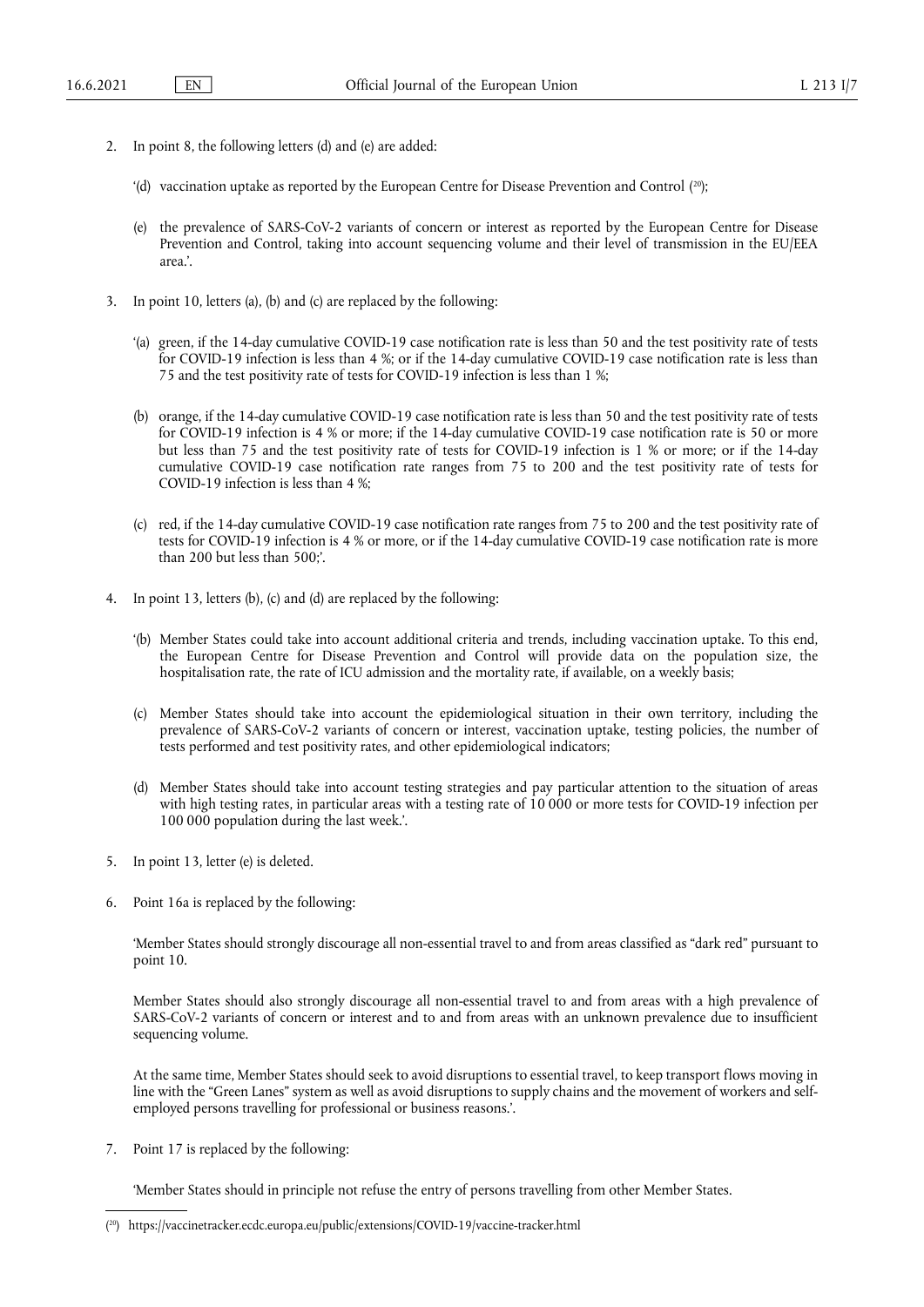- <span id="page-6-1"></span>2. In point 8, the following letters (d) and (e) are added:
	- '(d) vaccination uptake as reported by the European Centre for Disease Prevention and Control ( [20\)](#page-6-0);
	- (e) the prevalence of SARS-CoV-2 variants of concern or interest as reported by the European Centre for Disease Prevention and Control, taking into account sequencing volume and their level of transmission in the EU/EEA area.'.
- 3. In point 10, letters (a), (b) and (c) are replaced by the following:
	- '(a) green, if the 14-day cumulative COVID-19 case notification rate is less than 50 and the test positivity rate of tests for COVID-19 infection is less than 4 %; or if the 14-day cumulative COVID-19 case notification rate is less than 75 and the test positivity rate of tests for COVID-19 infection is less than 1 %;
	- (b) orange, if the 14-day cumulative COVID-19 case notification rate is less than 50 and the test positivity rate of tests for COVID-19 infection is 4 % or more; if the 14-day cumulative COVID-19 case notification rate is 50 or more but less than 75 and the test positivity rate of tests for COVID-19 infection is 1 % or more; or if the 14-day cumulative COVID-19 case notification rate ranges from 75 to 200 and the test positivity rate of tests for COVID-19 infection is less than 4 %;
	- (c) red, if the 14-day cumulative COVID-19 case notification rate ranges from 75 to 200 and the test positivity rate of tests for COVID-19 infection is 4 % or more, or if the 14-day cumulative COVID-19 case notification rate is more than 200 but less than 500;'.
- 4. In point 13, letters (b), (c) and (d) are replaced by the following:
	- '(b) Member States could take into account additional criteria and trends, including vaccination uptake. To this end, the European Centre for Disease Prevention and Control will provide data on the population size, the hospitalisation rate, the rate of ICU admission and the mortality rate, if available, on a weekly basis;
	- (c) Member States should take into account the epidemiological situation in their own territory, including the prevalence of SARS-CoV-2 variants of concern or interest, vaccination uptake, testing policies, the number of tests performed and test positivity rates, and other epidemiological indicators;
	- (d) Member States should take into account testing strategies and pay particular attention to the situation of areas with high testing rates, in particular areas with a testing rate of 10 000 or more tests for COVID-19 infection per 100 000 population during the last week.'.
- 5. In point 13, letter (e) is deleted.
- 6. Point 16a is replaced by the following:

'Member States should strongly discourage all non-essential travel to and from areas classified as "dark red" pursuant to point 10.

Member States should also strongly discourage all non-essential travel to and from areas with a high prevalence of SARS-CoV-2 variants of concern or interest and to and from areas with an unknown prevalence due to insufficient sequencing volume.

At the same time, Member States should seek to avoid disruptions to essential travel, to keep transport flows moving in line with the "Green Lanes" system as well as avoid disruptions to supply chains and the movement of workers and selfemployed persons travelling for professional or business reasons.'.

7. Point 17 is replaced by the following:

'Member States should in principle not refuse the entry of persons travelling from other Member States.

<span id="page-6-0"></span><sup>(</sup> [20\)](#page-6-1) <https://vaccinetracker.ecdc.europa.eu/public/extensions/COVID-19/vaccine-tracker.html>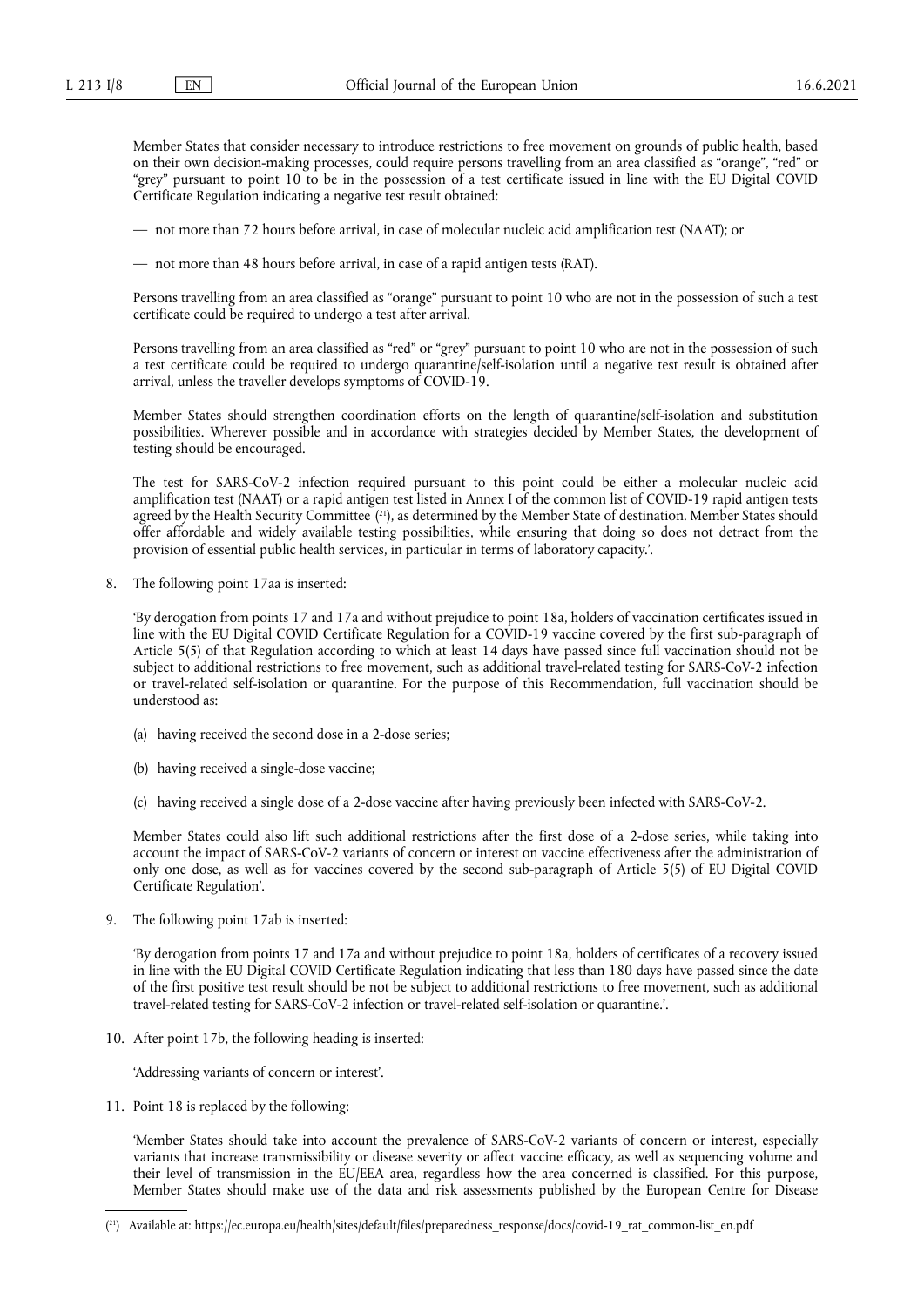Member States that consider necessary to introduce restrictions to free movement on grounds of public health, based on their own decision-making processes, could require persons travelling from an area classified as "orange", "red" or "grey" pursuant to point 10 to be in the possession of a test certificate issued in line with the EU Digital COVID Certificate Regulation indicating a negative test result obtained:

— not more than 72 hours before arrival, in case of molecular nucleic acid amplification test (NAAT); or

— not more than 48 hours before arrival, in case of a rapid antigen tests (RAT).

Persons travelling from an area classified as "orange" pursuant to point 10 who are not in the possession of such a test certificate could be required to undergo a test after arrival.

Persons travelling from an area classified as "red" or "grey" pursuant to point 10 who are not in the possession of such a test certificate could be required to undergo quarantine/self-isolation until a negative test result is obtained after arrival, unless the traveller develops symptoms of COVID-19.

Member States should strengthen coordination efforts on the length of quarantine/self-isolation and substitution possibilities. Wherever possible and in accordance with strategies decided by Member States, the development of testing should be encouraged.

<span id="page-7-1"></span>The test for SARS-CoV-2 infection required pursuant to this point could be either a molecular nucleic acid amplification test (NAAT) or a rapid antigen test listed in Annex I of the common list of COVID-19 rapid antigen tests agreed by the Health Security Committee ( [21\),](#page-7-0) as determined by the Member State of destination. Member States should offer affordable and widely available testing possibilities, while ensuring that doing so does not detract from the provision of essential public health services, in particular in terms of laboratory capacity.'.

8. The following point 17aa is inserted:

'By derogation from points 17 and 17a and without prejudice to point 18a, holders of vaccination certificates issued in line with the EU Digital COVID Certificate Regulation for a COVID-19 vaccine covered by the first sub-paragraph of Article 5(5) of that Regulation according to which at least 14 days have passed since full vaccination should not be subject to additional restrictions to free movement, such as additional travel-related testing for SARS-CoV-2 infection or travel-related self-isolation or quarantine. For the purpose of this Recommendation, full vaccination should be understood as:

- (a) having received the second dose in a 2-dose series;
- (b) having received a single-dose vaccine;
- (c) having received a single dose of a 2-dose vaccine after having previously been infected with SARS-CoV-2.

Member States could also lift such additional restrictions after the first dose of a 2-dose series, while taking into account the impact of SARS-CoV-2 variants of concern or interest on vaccine effectiveness after the administration of only one dose, as well as for vaccines covered by the second sub-paragraph of Article 5(5) of EU Digital COVID Certificate Regulation'.

9. The following point 17ab is inserted:

'By derogation from points 17 and 17a and without prejudice to point 18a, holders of certificates of a recovery issued in line with the EU Digital COVID Certificate Regulation indicating that less than 180 days have passed since the date of the first positive test result should be not be subject to additional restrictions to free movement, such as additional travel-related testing for SARS-CoV-2 infection or travel-related self-isolation or quarantine.'.

10. After point 17b, the following heading is inserted:

'Addressing variants of concern or interest'.

11. Point 18 is replaced by the following:

'Member States should take into account the prevalence of SARS-CoV-2 variants of concern or interest, especially variants that increase transmissibility or disease severity or affect vaccine efficacy, as well as sequencing volume and their level of transmission in the EU/EEA area, regardless how the area concerned is classified. For this purpose, Member States should make use of the data and risk assessments published by the European Centre for Disease

<span id="page-7-0"></span><sup>(</sup> [21\)](#page-7-1) Available at: [https://ec.europa.eu/health/sites/default/files/preparedness\\_response/docs/covid-19\\_rat\\_common-list\\_en.pdf](https://ec.europa.eu/health/sites/default/files/preparedness_response/docs/covid-19_rat_common-list_en.pdf)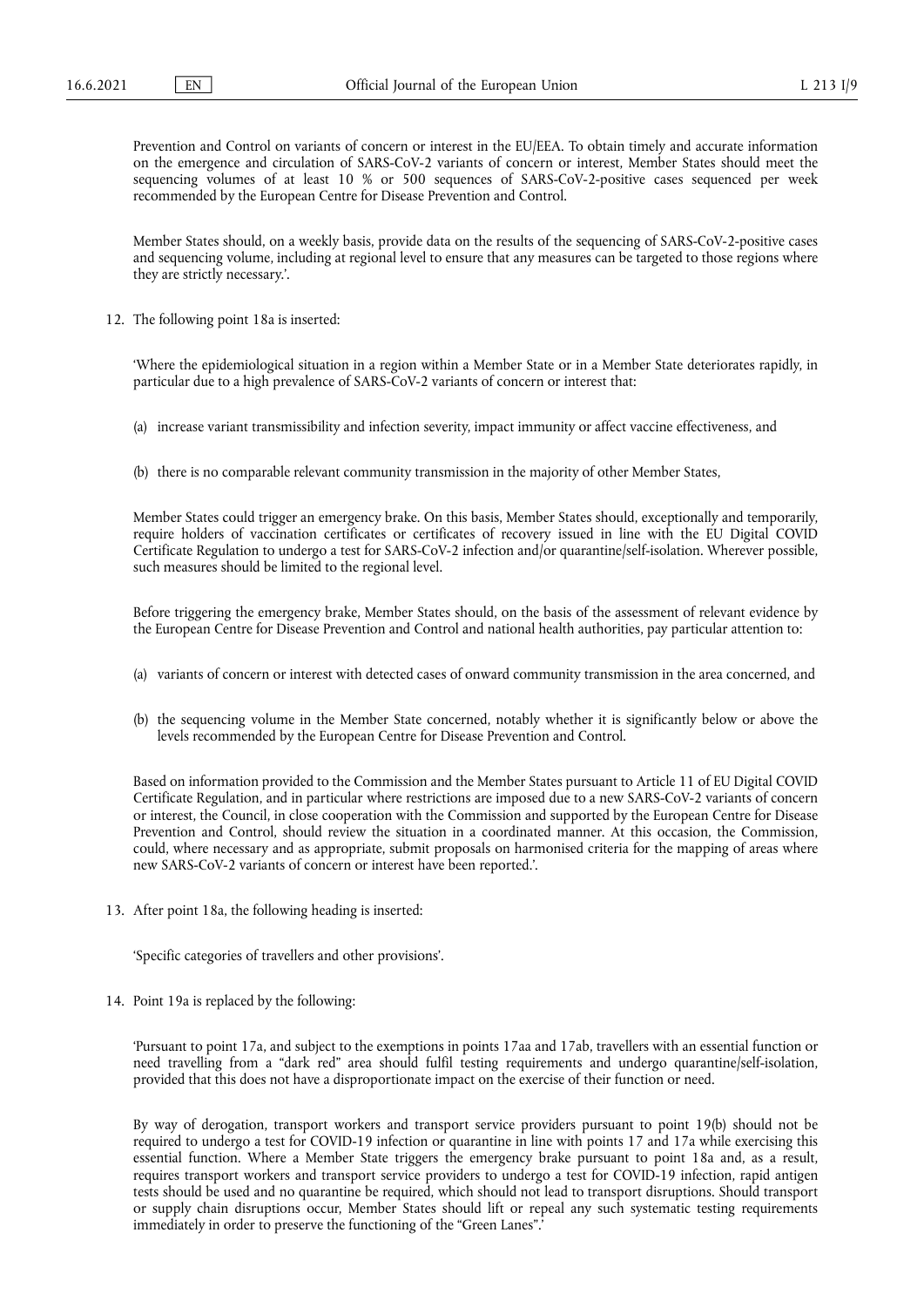Prevention and Control on variants of concern or interest in the EU/EEA. To obtain timely and accurate information on the emergence and circulation of SARS-CoV-2 variants of concern or interest, Member States should meet the sequencing volumes of at least 10 % or 500 sequences of SARS-CoV-2-positive cases sequenced per week recommended by the European Centre for Disease Prevention and Control.

Member States should, on a weekly basis, provide data on the results of the sequencing of SARS-CoV-2-positive cases and sequencing volume, including at regional level to ensure that any measures can be targeted to those regions where they are strictly necessary.'.

12. The following point 18a is inserted:

'Where the epidemiological situation in a region within a Member State or in a Member State deteriorates rapidly, in particular due to a high prevalence of SARS-CoV-2 variants of concern or interest that:

- (a) increase variant transmissibility and infection severity, impact immunity or affect vaccine effectiveness, and
- (b) there is no comparable relevant community transmission in the majority of other Member States,

Member States could trigger an emergency brake. On this basis, Member States should, exceptionally and temporarily, require holders of vaccination certificates or certificates of recovery issued in line with the EU Digital COVID Certificate Regulation to undergo a test for SARS-CoV-2 infection and/or quarantine/self-isolation. Wherever possible, such measures should be limited to the regional level.

Before triggering the emergency brake, Member States should, on the basis of the assessment of relevant evidence by the European Centre for Disease Prevention and Control and national health authorities, pay particular attention to:

- (a) variants of concern or interest with detected cases of onward community transmission in the area concerned, and
- (b) the sequencing volume in the Member State concerned, notably whether it is significantly below or above the levels recommended by the European Centre for Disease Prevention and Control.

Based on information provided to the Commission and the Member States pursuant to Article 11 of EU Digital COVID Certificate Regulation, and in particular where restrictions are imposed due to a new SARS-CoV-2 variants of concern or interest, the Council, in close cooperation with the Commission and supported by the European Centre for Disease Prevention and Control, should review the situation in a coordinated manner. At this occasion, the Commission, could, where necessary and as appropriate, submit proposals on harmonised criteria for the mapping of areas where new SARS-CoV-2 variants of concern or interest have been reported.'.

13. After point 18a, the following heading is inserted:

'Specific categories of travellers and other provisions'.

14. Point 19a is replaced by the following:

'Pursuant to point 17a, and subject to the exemptions in points 17aa and 17ab, travellers with an essential function or need travelling from a "dark red" area should fulfil testing requirements and undergo quarantine/self-isolation, provided that this does not have a disproportionate impact on the exercise of their function or need.

By way of derogation, transport workers and transport service providers pursuant to point 19(b) should not be required to undergo a test for COVID-19 infection or quarantine in line with points 17 and 17a while exercising this essential function. Where a Member State triggers the emergency brake pursuant to point 18a and, as a result, requires transport workers and transport service providers to undergo a test for COVID-19 infection, rapid antigen tests should be used and no quarantine be required, which should not lead to transport disruptions. Should transport or supply chain disruptions occur, Member States should lift or repeal any such systematic testing requirements immediately in order to preserve the functioning of the "Green Lanes".'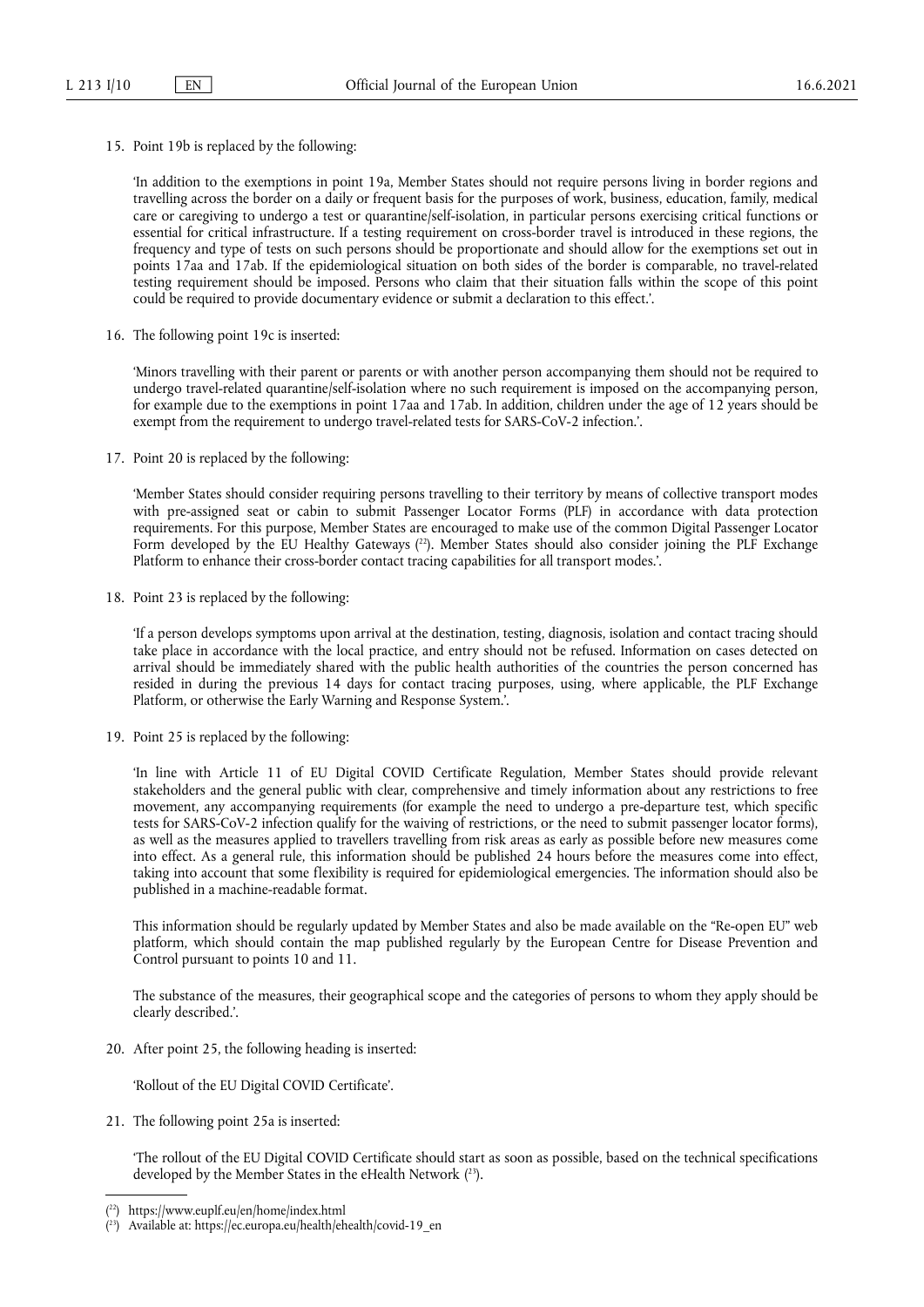15. Point 19b is replaced by the following:

'In addition to the exemptions in point 19a, Member States should not require persons living in border regions and travelling across the border on a daily or frequent basis for the purposes of work, business, education, family, medical care or caregiving to undergo a test or quarantine/self-isolation, in particular persons exercising critical functions or essential for critical infrastructure. If a testing requirement on cross-border travel is introduced in these regions, the frequency and type of tests on such persons should be proportionate and should allow for the exemptions set out in points 17aa and 17ab. If the epidemiological situation on both sides of the border is comparable, no travel-related testing requirement should be imposed. Persons who claim that their situation falls within the scope of this point could be required to provide documentary evidence or submit a declaration to this effect.'.

16. The following point 19c is inserted:

'Minors travelling with their parent or parents or with another person accompanying them should not be required to undergo travel-related quarantine/self-isolation where no such requirement is imposed on the accompanying person, for example due to the exemptions in point 17aa and 17ab. In addition, children under the age of 12 years should be exempt from the requirement to undergo travel-related tests for SARS-CoV-2 infection.'.

17. Point 20 is replaced by the following:

<span id="page-9-2"></span>'Member States should consider requiring persons travelling to their territory by means of collective transport modes with pre-assigned seat or cabin to submit Passenger Locator Forms (PLF) in accordance with data protection requirements. For this purpose, Member States are encouraged to make use of the common Digital Passenger Locator Form developed by the EU Healthy Gateways ( [22\).](#page-9-0) Member States should also consider joining the PLF Exchange Platform to enhance their cross-border contact tracing capabilities for all transport modes.'.

18. Point 23 is replaced by the following:

'If a person develops symptoms upon arrival at the destination, testing, diagnosis, isolation and contact tracing should take place in accordance with the local practice, and entry should not be refused. Information on cases detected on arrival should be immediately shared with the public health authorities of the countries the person concerned has resided in during the previous 14 days for contact tracing purposes, using, where applicable, the PLF Exchange Platform, or otherwise the Early Warning and Response System.'.

19. Point 25 is replaced by the following:

'In line with Article 11 of EU Digital COVID Certificate Regulation*,* Member States should provide relevant stakeholders and the general public with clear, comprehensive and timely information about any restrictions to free movement, any accompanying requirements (for example the need to undergo a pre-departure test, which specific tests for SARS-CoV-2 infection qualify for the waiving of restrictions, or the need to submit passenger locator forms), as well as the measures applied to travellers travelling from risk areas as early as possible before new measures come into effect. As a general rule, this information should be published 24 hours before the measures come into effect, taking into account that some flexibility is required for epidemiological emergencies. The information should also be published in a machine-readable format.

This information should be regularly updated by Member States and also be made available on the "Re-open EU" web platform, which should contain the map published regularly by the European Centre for Disease Prevention and Control pursuant to points 10 and 11.

The substance of the measures, their geographical scope and the categories of persons to whom they apply should be clearly described.'.

20. After point 25, the following heading is inserted:

'Rollout of the EU Digital COVID Certificate'.

21. The following point 25a is inserted:

<span id="page-9-3"></span>'The rollout of the EU Digital COVID Certificate should start as soon as possible, based on the technical specifications developed by the Member States in the eHealth Network ( [23\)](#page-9-1).

<span id="page-9-0"></span><sup>(</sup> [22\)](#page-9-2) <https://www.euplf.eu/en/home/index.html>

<span id="page-9-1"></span><sup>(</sup> [23\)](#page-9-3) Available at: [https://ec.europa.eu/health/ehealth/covid-19\\_en](https://ec.europa.eu/health/ehealth/covid-19_en)